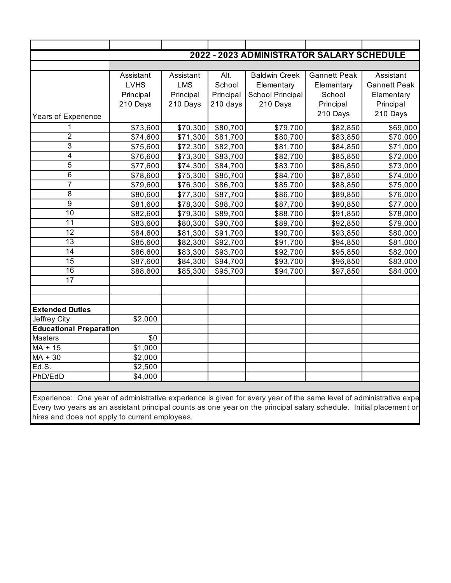| 2022 - 2023 ADMINISTRATOR SALARY SCHEDULE |                     |            |           |                      |                     |                     |  |  |
|-------------------------------------------|---------------------|------------|-----------|----------------------|---------------------|---------------------|--|--|
|                                           |                     |            |           |                      |                     |                     |  |  |
|                                           | Assistant           | Assistant  | Alt.      | <b>Baldwin Creek</b> | <b>Gannett Peak</b> | Assistant           |  |  |
|                                           | <b>LVHS</b>         | <b>LMS</b> | School    | Elementary           | Elementary          | <b>Gannett Peak</b> |  |  |
|                                           | Principal           | Principal  | Principal | School Principal     | School              | Elementary          |  |  |
|                                           | 210 Days            | 210 Days   | 210 days  | 210 Days             | Principal           | Principal           |  |  |
| Years of Experience                       |                     |            |           |                      | 210 Days            | 210 Days            |  |  |
| 1                                         | \$73,600            | \$70,300   | \$80,700  | \$79,700             | \$82,850            | \$69,000            |  |  |
| $\overline{2}$                            | \$74,600            | \$71,300   | \$81,700  | \$80,700             | \$83,850            | \$70,000            |  |  |
| 3                                         | \$75,600            | \$72,300   | \$82,700  | \$81,700             | \$84,850            | \$71,000            |  |  |
| 4                                         | \$76,600            | \$73,300   | \$83,700  | \$82,700             | \$85,850            | \$72,000            |  |  |
| $\overline{5}$                            | \$77,600            | \$74,300   | \$84,700  | \$83,700             | \$86,850            | \$73,000            |  |  |
| $6\phantom{1}$                            | \$78,600            | \$75,300   | \$85,700  | \$84,700             | \$87,850            | \$74,000            |  |  |
| $\overline{7}$                            | \$79,600            | \$76,300   | \$86,700  | \$85,700             | \$88,850            | \$75,000            |  |  |
| 8                                         | \$80,600            | \$77,300   | \$87,700  | \$86,700             | \$89,850            | \$76,000            |  |  |
| $\overline{9}$                            | \$81,600            | \$78,300   | \$88,700  | \$87,700             | \$90,850            | \$77,000            |  |  |
| $\overline{10}$                           | \$82,600            | \$79,300   | \$89,700  | \$88,700             | \$91,850            | \$78,000            |  |  |
| 11                                        | \$83,600            | \$80,300   | \$90,700  | \$89,700             | \$92,850            | \$79,000            |  |  |
| 12                                        | \$84,600            | \$81,300   | \$91,700  | \$90,700             | \$93,850            | \$80,000            |  |  |
| 13                                        | \$85,600            | \$82,300   | \$92,700  | \$91,700             | \$94,850            | \$81,000            |  |  |
| $\overline{14}$                           | \$86,600            | \$83,300   | \$93,700  | \$92,700             | \$95,850            | \$82,000            |  |  |
| 15                                        | \$87,600            | \$84,300   | \$94,700  | \$93,700             | \$96,850            | \$83,000            |  |  |
| 16                                        | \$88,600            | \$85,300   | \$95,700  | \$94,700             | \$97,850            | \$84,000            |  |  |
| 17                                        |                     |            |           |                      |                     |                     |  |  |
|                                           |                     |            |           |                      |                     |                     |  |  |
|                                           |                     |            |           |                      |                     |                     |  |  |
| <b>Extended Duties</b>                    |                     |            |           |                      |                     |                     |  |  |
| Jeffrey City                              | $\overline{$}2,000$ |            |           |                      |                     |                     |  |  |
| <b>Educational Preparation</b>            |                     |            |           |                      |                     |                     |  |  |
| <b>Masters</b>                            | $\overline{50}$     |            |           |                      |                     |                     |  |  |
| $MA + 15$                                 | \$1,000             |            |           |                      |                     |                     |  |  |
| $MA + 30$                                 | \$2,000             |            |           |                      |                     |                     |  |  |
| Ed.S.                                     | \$2,500             |            |           |                      |                     |                     |  |  |
| PhD/EdD                                   | \$4,000             |            |           |                      |                     |                     |  |  |
|                                           |                     |            |           |                      |                     |                     |  |  |

Experience: One year of administrative experience is given for every year of the same level of administrative expe Every two years as an assistant principal counts as one year on the principal salary schedule. Initial placement on hires and does not apply to current employees.